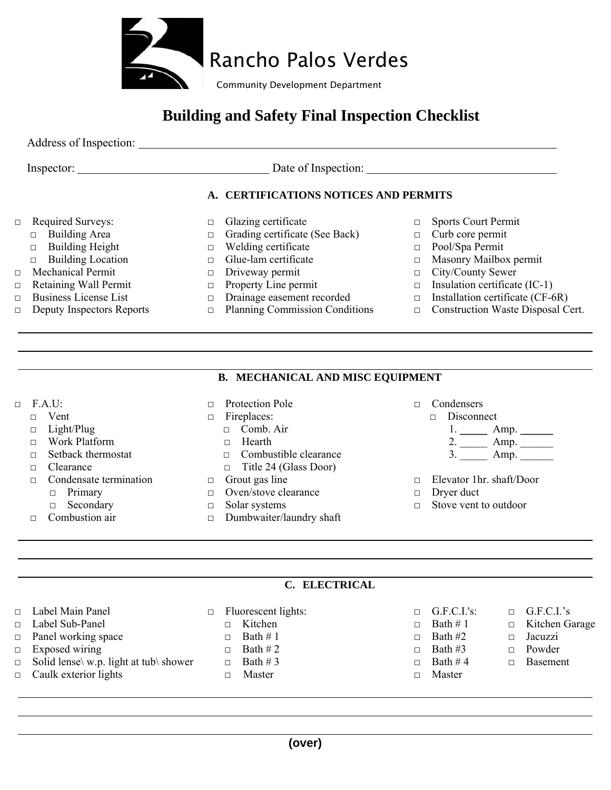

# **Building and Safety Final Inspection Checklist**

Address of Inspection:

Inspector: Date of Inspection:

## **A. CERTIFICATIONS NOTICES AND PERMITS**

- □ Required Surveys:
	- □ Building Area
	- □ Building Height
	- □ Building Location
- □ Mechanical Permit
- □ Retaining Wall Permit
- □ Business License List
- □ Deputy Inspectors Reports
- □ Glazing certificate
- □ Grading certificate (See Back)
- □ Welding certificate
- □ Glue-lam certificate
- □ Driveway permit
- □ Property Line permit
- □ Drainage easement recorded
- □ Planning Commission Conditions
- □ Sports Court Permit
- □ Curb core permit
- □ Pool/Spa Permit
- □ Masonry Mailbox permit
- □ City/County Sewer
- $\Box$  Insulation certificate (IC-1)
- $\Box$  Installation certificate (CF-6R)
- □ Construction Waste Disposal Cert.

### **B. MECHANICAL AND MISC EQUIPMENT**

 $\Box$  F.A.U:

l

l

l

l

- □ Vent
- □ Light/Plug
- □ Work Platform
- □ Setback thermostat
- □ Clearance
- □ Condensate termination
	- □ Primary
	- □ Secondary
- $\Box$  Combustion air
- □ Protection Pole
- □ Fireplaces:
	- □ Comb. Air
	- $\Box$  Hearth
	- □ Combustible clearance
	- □ Title 24 (Glass Door)
- $\Box$  Grout gas line
- □ Oven/stove clearance
- □ Solar systems
- □ Dumbwaiter/laundry shaft
- □ Condensers
	- □ Disconnect
		- 1. \_\_\_\_\_\_\_\_ Amp. \_\_\_\_\_\_\_
		- 2. <u>\_\_\_\_\_</u> Amp. \_\_\_\_\_\_
	- 3. <u>\_\_\_\_\_</u> Amp. \_\_\_\_\_\_
- □ Elevator 1hr. shaft/Door
- □ Dryer duct
- □ Stove vent to outdoor

## **C. ELECTRICAL**

□ Label Main Panel □ Label Sub-Panel □ Panel working space  $\Box$  Exposed wiring  $\Box$  Solid lense \w.p. light at tub \ shower □ Caulk exterior lights □ Fluorescent lights: □ Kitchen  $\Box$  Bath # 1  $\Box$  Bath # 2  $\Box$  Bath # 3 □ Master  $\Box$  G.F.C.I.'s:  $\Box$  Bath # 1  $\Box$  Bath #2  $\Box$  Bath #3  $\Box$  Bath # 4 □ Master  $\Box$  G.F.C.I.'s □ Kitchen Garage □ Jacuzzi □ Powder □ Basement